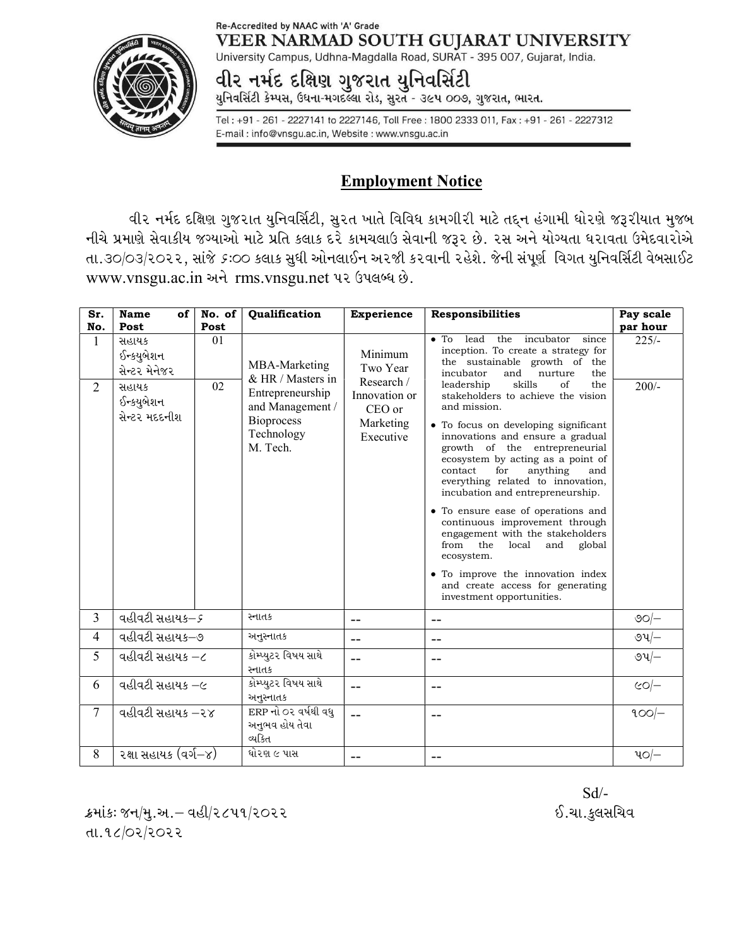## Re-Accredited by NAAC with 'A' Grade VEER NARMAD SOUTH GUJARAT UNIVERSITY

University Campus, Udhna-Magdalla Road, SURAT - 395 007, Gujarat, India.

વીર નમંદ દક્ષિણ ગુજરાત યુનિવસિંટી

યુનિવર્સિટી કેમ્પસ, ઉધના-મગદલ્લા રોડ, સુરત - ૩૯૫ ૦૦૭, ગુજરાત, ભારત.

Tel: +91 - 261 - 2227141 to 2227146, Toll Free: 1800 2333 011, Fax: +91 - 261 - 2227312 E-mail: info@vnsgu.ac.in, Website: www.vnsgu.ac.in

## Employment Notice

વીર નર્મદ દક્ષિણ ગુજરાત યુનિવર્સિટી, સુરત ખાતે વિવિધ કામગીરી માટે તદ્દન હંગામી ધોરણે જરૂરીયાત મુજબ નીચે પ્રમાણે સેવાકીય જગ્યાઓ માટે પ્રતિ કલાક દરે કામચલાઉ સેવાની જરૂર છે. ૨સ અને યોગ્યતા ધરાવતા ઉમેદવારોએ તા.૩૦/૦૩/૨૦૨૨, સાંજે *૬*:૦૦ કલાક સુધી ઓનલાઈન અ૨જી ક૨વાની ૨હેશે. જેની સંપૂર્ણ વિગત યુનિવર્સિટી વેબસાઈટ www.vnsgu.ac.in અને rms.vnsgu.net પર ઉપલબ્ધ છે.

| Sr.<br>No.     | Name<br>of<br>Post                                                           | No. of<br>Post | Qualification                                                                                                             | <b>Experience</b>                                                                      | <b>Responsibilities</b>                                                                                                                                                                                                                                                                                                                                                                                                                                                                                                                                                                                                                                                                                                                                                                       | Pay scale                      |
|----------------|------------------------------------------------------------------------------|----------------|---------------------------------------------------------------------------------------------------------------------------|----------------------------------------------------------------------------------------|-----------------------------------------------------------------------------------------------------------------------------------------------------------------------------------------------------------------------------------------------------------------------------------------------------------------------------------------------------------------------------------------------------------------------------------------------------------------------------------------------------------------------------------------------------------------------------------------------------------------------------------------------------------------------------------------------------------------------------------------------------------------------------------------------|--------------------------------|
| 1<br>2         | સહાયક<br>ઈન્કયુબેશન<br>સેન્ટર મેનેજર<br>સહાયક<br>ઈન્કયુબેશન<br>સેન્ટર મદદનીશ | 01<br>02       | MBA-Marketing<br>& HR / Masters in<br>Entrepreneurship<br>and Management /<br><b>Bioprocess</b><br>Technology<br>M. Tech. | Minimum<br>Two Year<br>Research /<br>Innovation or<br>CEO or<br>Marketing<br>Executive | lead the incubator<br>$\bullet$ To<br>since<br>inception. To create a strategy for<br>the sustainable growth of the<br>incubator<br>and<br>nurture<br>the<br>skills<br>the<br>leadership<br>of<br>stakeholders to achieve the vision<br>and mission.<br>• To focus on developing significant<br>innovations and ensure a gradual<br>growth of the entrepreneurial<br>ecosystem by acting as a point of<br>contact<br>for<br>anything<br>and<br>everything related to innovation,<br>incubation and entrepreneurship.<br>• To ensure ease of operations and<br>continuous improvement through<br>engagement with the stakeholders<br>the<br>from<br>local<br>and<br>global<br>ecosystem.<br>• To improve the innovation index<br>and create access for generating<br>investment opportunities. | par hour<br>$225/-$<br>$200/-$ |
| $\overline{3}$ | વહીવટી સહાયક–૬                                                               |                | સ્નાતક                                                                                                                    | --                                                                                     | $- -$                                                                                                                                                                                                                                                                                                                                                                                                                                                                                                                                                                                                                                                                                                                                                                                         | $\circ$ ଚ/ $-$                 |
| $\overline{4}$ | વહીવટી સહાયક–૭                                                               |                | અનુસ્નાતક                                                                                                                 | $-$                                                                                    | $-$                                                                                                                                                                                                                                                                                                                                                                                                                                                                                                                                                                                                                                                                                                                                                                                           | ৩૫ $-$                         |
| 5              | વહીવટી સહાયક –૮                                                              |                | કોમ્પ્યુટર વિષય સાથે<br>સ્નાતક                                                                                            | $-$                                                                                    | $-$                                                                                                                                                                                                                                                                                                                                                                                                                                                                                                                                                                                                                                                                                                                                                                                           | ৩પ $-$                         |
| 6              | વહીવટી સહાયક –૯                                                              |                | કોમ્પ્યુટર વિષય સાથે<br>અનુસ્નાતક                                                                                         | --                                                                                     | $-$                                                                                                                                                                                                                                                                                                                                                                                                                                                                                                                                                                                                                                                                                                                                                                                           | $CO$ -                         |
| $\tau$         | $\overline{48}$ वटी सहाय $3 - 28$                                            |                | ERP નો ૦૨ વર્ષથી વધુ<br>અનુભવ હોય તેવા<br>વ્યકિત                                                                          | $-$                                                                                    | $- -$                                                                                                                                                                                                                                                                                                                                                                                                                                                                                                                                                                                                                                                                                                                                                                                         | $900$ -                        |
| 8              | ૨ક્ષા સહાયક (વર્ગ–૪)                                                         |                | ધો૨ણ ૯ પાસ                                                                                                                | --                                                                                     | --                                                                                                                                                                                                                                                                                                                                                                                                                                                                                                                                                                                                                                                                                                                                                                                            | પ૦/–                           |

Sd/-

ક્રમાંકઃ જન/મુ.અ.– વહી/૨૮૫૧/૨૦૨૨ . કર્માણ અને જિલ્લાના પાકના પાકના પાકના પાકના પાકના પાકના પાકના પાકના પાકના પ  $d.92/02/2022$